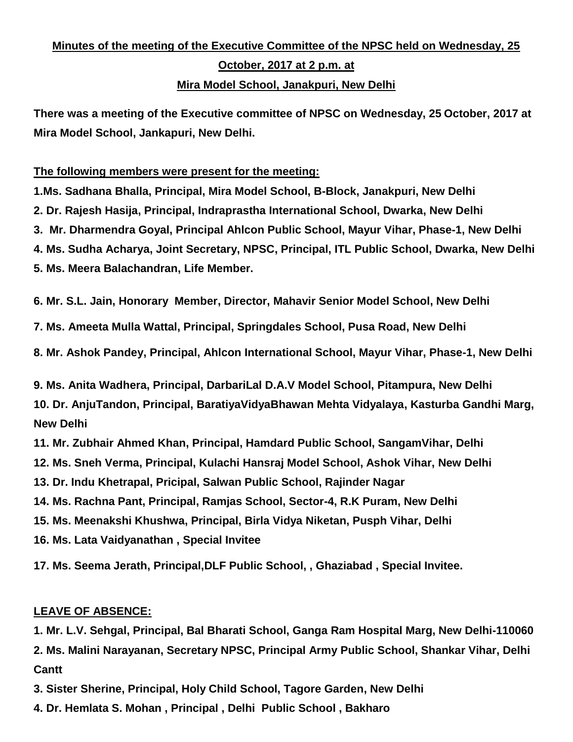# **Minutes of the meeting of the Executive Committee of the NPSC held on Wednesday, 25 October, 2017 at 2 p.m. at Mira Model School, Janakpuri, New Delhi**

**There was a meeting of the Executive committee of NPSC on Wednesday, 25 October, 2017 at Mira Model School, Jankapuri, New Delhi.** 

#### **The following members were present for the meeting:**

**1.Ms. Sadhana Bhalla, Principal, Mira Model School, B-Block, Janakpuri, New Delhi 2. Dr. Rajesh Hasija, Principal, Indraprastha International School, Dwarka, New Delhi 3. Mr. Dharmendra Goyal, Principal Ahlcon Public School, Mayur Vihar, Phase-1, New Delhi 4. Ms. Sudha Acharya, Joint Secretary, NPSC, Principal, ITL Public School, Dwarka, New Delhi**

**5. Ms. Meera Balachandran, Life Member.**

**6. Mr. S.L. Jain, Honorary Member, Director, Mahavir Senior Model School, New Delhi**

**7. Ms. Ameeta Mulla Wattal, Principal, Springdales School, Pusa Road, New Delhi**

**8. Mr. Ashok Pandey, Principal, Ahlcon International School, Mayur Vihar, Phase-1, New Delhi**

**9. Ms. Anita Wadhera, Principal, DarbariLal D.A.V Model School, Pitampura, New Delhi 10. Dr. AnjuTandon, Principal, BaratiyaVidyaBhawan Mehta Vidyalaya, Kasturba Gandhi Marg, New Delhi**

**11. Mr. Zubhair Ahmed Khan, Principal, Hamdard Public School, SangamVihar, Delhi**

**12. Ms. Sneh Verma, Principal, Kulachi Hansraj Model School, Ashok Vihar, New Delhi**

**13. Dr. Indu Khetrapal, Pricipal, Salwan Public School, Rajinder Nagar**

**14. Ms. Rachna Pant, Principal, Ramjas School, Sector-4, R.K Puram, New Delhi**

**15. Ms. Meenakshi Khushwa, Principal, Birla Vidya Niketan, Pusph Vihar, Delhi**

**16. Ms. Lata Vaidyanathan , Special Invitee**

**17. Ms. Seema Jerath, Principal,DLF Public School, , Ghaziabad , Special Invitee.**

### **LEAVE OF ABSENCE:**

**1. Mr. L.V. Sehgal, Principal, Bal Bharati School, Ganga Ram Hospital Marg, New Delhi-110060**

**2. Ms. Malini Narayanan, Secretary NPSC, Principal Army Public School, Shankar Vihar, Delhi Cantt**

**3. Sister Sherine, Principal, Holy Child School, Tagore Garden, New Delhi**

**4. Dr. Hemlata S. Mohan , Principal , Delhi Public School , Bakharo**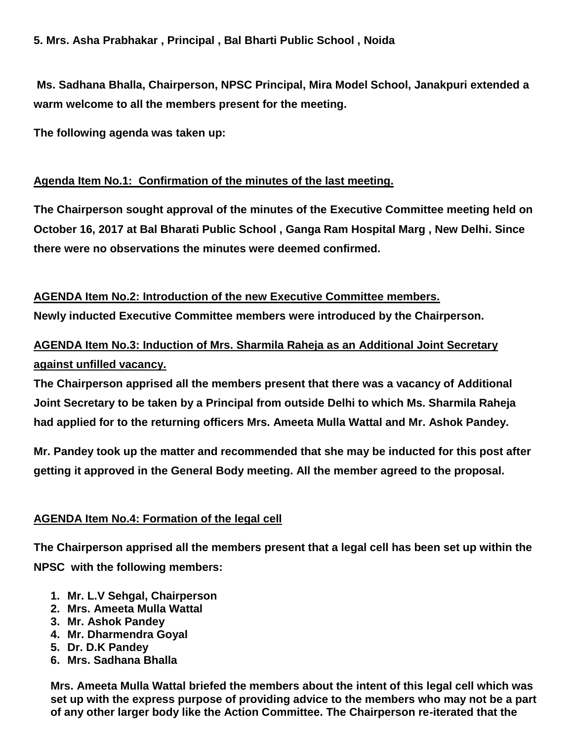**Ms. Sadhana Bhalla, Chairperson, NPSC Principal, Mira Model School, Janakpuri extended a warm welcome to all the members present for the meeting.** 

**The following agenda was taken up:**

#### **Agenda Item No.1: Confirmation of the minutes of the last meeting.**

**The Chairperson sought approval of the minutes of the Executive Committee meeting held on October 16, 2017 at Bal Bharati Public School , Ganga Ram Hospital Marg , New Delhi. Since there were no observations the minutes were deemed confirmed.**

**AGENDA Item No.2: Introduction of the new Executive Committee members.**

**Newly inducted Executive Committee members were introduced by the Chairperson.**

## **AGENDA Item No.3: Induction of Mrs. Sharmila Raheja as an Additional Joint Secretary against unfilled vacancy.**

**The Chairperson apprised all the members present that there was a vacancy of Additional Joint Secretary to be taken by a Principal from outside Delhi to which Ms. Sharmila Raheja had applied for to the returning officers Mrs. Ameeta Mulla Wattal and Mr. Ashok Pandey.**

**Mr. Pandey took up the matter and recommended that she may be inducted for this post after getting it approved in the General Body meeting. All the member agreed to the proposal.**

#### **AGENDA Item No.4: Formation of the legal cell**

**The Chairperson apprised all the members present that a legal cell has been set up within the NPSC with the following members:**

- **1. Mr. L.V Sehgal, Chairperson**
- **2. Mrs. Ameeta Mulla Wattal**
- **3. Mr. Ashok Pandey**
- **4. Mr. Dharmendra Goyal**
- **5. Dr. D.K Pandey**
- **6. Mrs. Sadhana Bhalla**

**Mrs. Ameeta Mulla Wattal briefed the members about the intent of this legal cell which was set up with the express purpose of providing advice to the members who may not be a part of any other larger body like the Action Committee. The Chairperson re-iterated that the**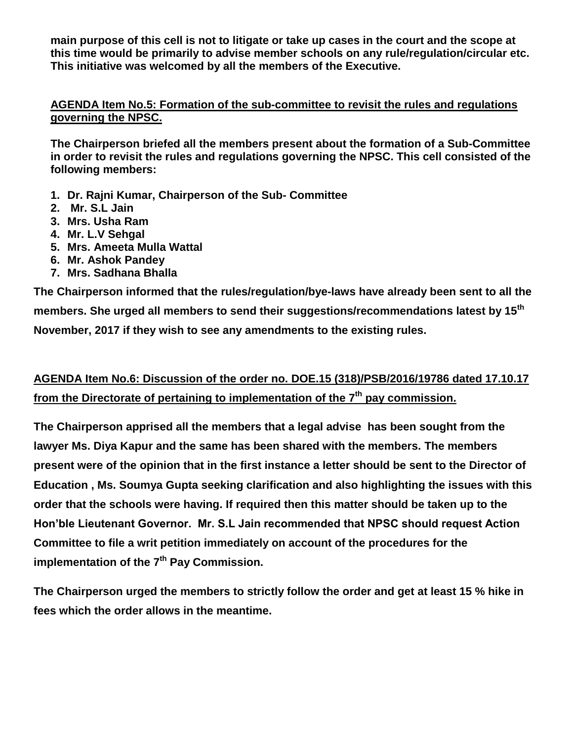**main purpose of this cell is not to litigate or take up cases in the court and the scope at this time would be primarily to advise member schools on any rule/regulation/circular etc. This initiative was welcomed by all the members of the Executive.**

#### **AGENDA Item No.5: Formation of the sub-committee to revisit the rules and regulations governing the NPSC.**

**The Chairperson briefed all the members present about the formation of a Sub-Committee in order to revisit the rules and regulations governing the NPSC. This cell consisted of the following members:**

- **1. Dr. Rajni Kumar, Chairperson of the Sub- Committee**
- **2. Mr. S.L Jain**
- **3. Mrs. Usha Ram**
- **4. Mr. L.V Sehgal**
- **5. Mrs. Ameeta Mulla Wattal**
- **6. Mr. Ashok Pandey**
- **7. Mrs. Sadhana Bhalla**

**The Chairperson informed that the rules/regulation/bye-laws have already been sent to all the members. She urged all members to send their suggestions/recommendations latest by 15th November, 2017 if they wish to see any amendments to the existing rules.**

## **AGENDA Item No.6: Discussion of the order no. DOE.15 (318)/PSB/2016/19786 dated 17.10.17 from the Directorate of pertaining to implementation of the 7th pay commission.**

**The Chairperson apprised all the members that a legal advise has been sought from the lawyer Ms. Diya Kapur and the same has been shared with the members. The members present were of the opinion that in the first instance a letter should be sent to the Director of Education , Ms. Soumya Gupta seeking clarification and also highlighting the issues with this order that the schools were having. If required then this matter should be taken up to the Hon'ble Lieutenant Governor. Mr. S.L Jain recommended that NPSC should request Action Committee to file a writ petition immediately on account of the procedures for the implementation of the 7th Pay Commission.** 

**The Chairperson urged the members to strictly follow the order and get at least 15 % hike in fees which the order allows in the meantime.**